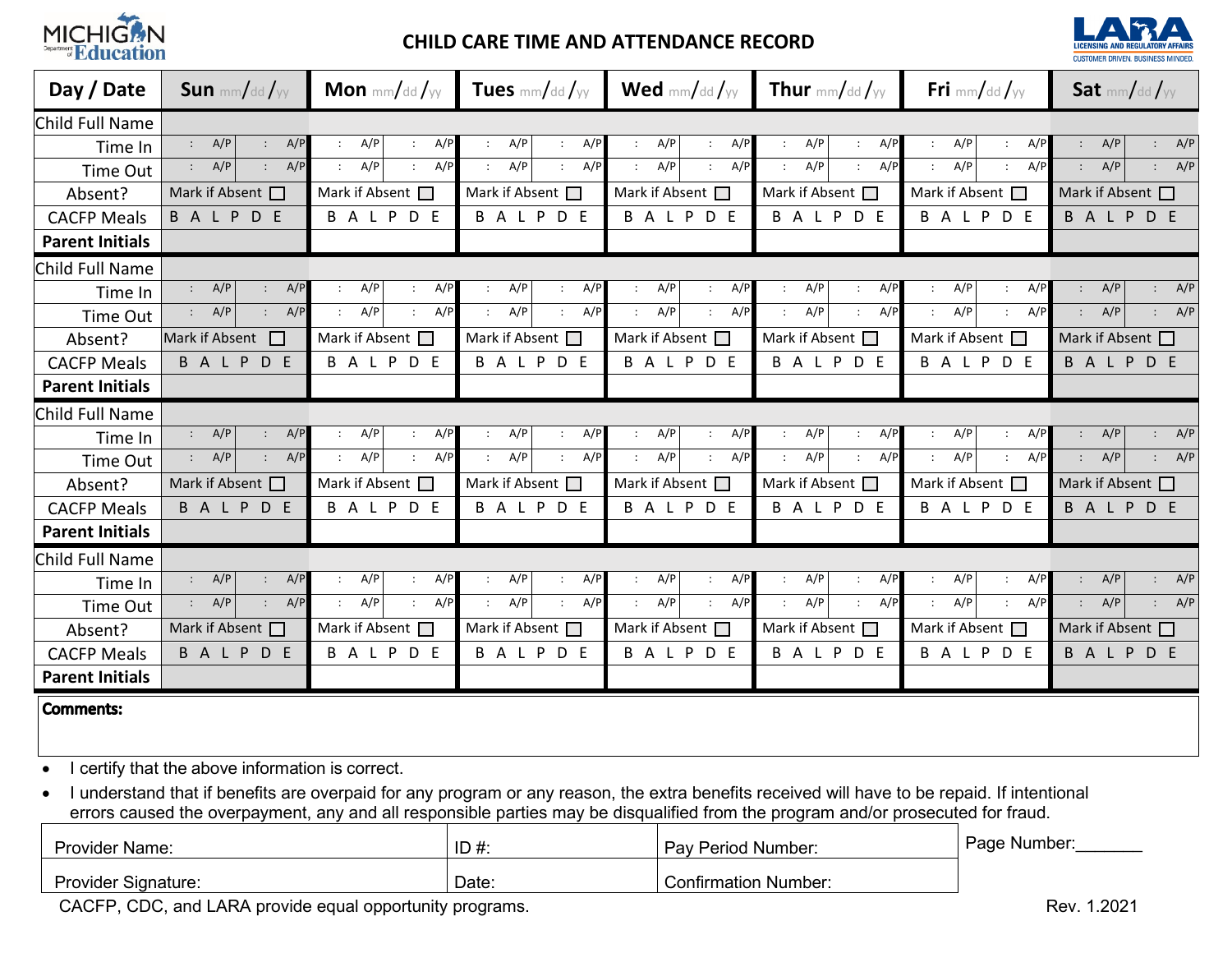

### **CHILD CARE TIME AND ATTENDANCE RECORD**



| Day / Date                                                           | Sun mm/dd/yy                                                       | Mon mm/dd/yy                                               | Tues $mm/dd / yy$                                                   | Wed $mm/dd / yy$                                          | Thur $mm/dd / yy$                                                    | Fri mm/dd/yy                                                       | Sat $mm/dd / yy$                                   |
|----------------------------------------------------------------------|--------------------------------------------------------------------|------------------------------------------------------------|---------------------------------------------------------------------|-----------------------------------------------------------|----------------------------------------------------------------------|--------------------------------------------------------------------|----------------------------------------------------|
| Child Full Name                                                      |                                                                    |                                                            |                                                                     |                                                           |                                                                      |                                                                    |                                                    |
| Time In                                                              | $\therefore$ A/P<br>A/P<br>$\mathcal{L}$                           | A/P<br>A/P<br>$\mathcal{I}^{\mathcal{I}}$ .<br>$\sim$      | A/P<br>A/P<br>$\mathcal{L}_{\mathrm{max}}$<br>$\ddot{\cdot}$        | A/P<br>A/P<br>$\sim$<br>$\mathcal{L}$                     | A/P<br>A/P<br>$\mathcal{L}$<br>$\ddot{\cdot}$                        | A/P<br>A/P<br>$\ddot{\phantom{a}}$<br>$\mathcal{L}_{\mathrm{max}}$ | A/P<br>A/P<br>$\mathcal{L}$<br>$\mathcal{L}$       |
| Time Out                                                             | A/P<br>A/P<br>$\mathbb{R}^{\mathbb{Z}}$<br>$\mathcal{L}$           | A/P<br>A/P<br>$\ddot{\cdot}$                               | A/P<br>A/P<br>$\cdot$<br>$\ddot{\cdot}$                             | A/P<br>A/P<br>$\cdot$<br>$\mathcal{L}$                    | A/P<br>A/P<br>$\mathbb{R}^{\mathbb{Z}}$                              | A/P<br>$\mathbb{R}^{\mathbb{Z}}$<br>A/P                            | A/P<br>A/P<br>$\mathbb{R}^{\mathbb{Z}}$<br>$\cdot$ |
| Absent?                                                              | Mark if Absent                                                     | Mark if Absent                                             | Mark if Absent                                                      | Mark if Absent <sup>1</sup>                               | Mark if Absent <sup>1</sup>                                          | Mark if Absent <sup>1</sup>                                        | Mark if Absent <sup>1</sup>                        |
| <b>CACFP Meals</b>                                                   | BALPDE                                                             | BALPDE                                                     | <b>BALPDE</b>                                                       | BALPDE                                                    | BALPDE                                                               | BALPDE                                                             | BALPDE                                             |
| <b>Parent Initials</b>                                               |                                                                    |                                                            |                                                                     |                                                           |                                                                      |                                                                    |                                                    |
| Child Full Name                                                      |                                                                    |                                                            |                                                                     |                                                           |                                                                      |                                                                    |                                                    |
| Time In                                                              | A/P<br>$\mathcal{Z}^{\mathcal{A}}$<br>A/P                          | A/P<br>A/P<br>$\mathcal{L}$<br>$\ddot{\cdot}$              | A/P<br>A/P<br>$\ddot{\cdot}$<br>$\cdot$                             | A/P<br>A/P<br>$\mathcal{L}$<br>$\ddot{\cdot}$             | A/P<br>A/P<br>$\mathcal{L}$                                          | A/P<br>A/P<br>$\mathcal{L}^{\pm}$<br>$\dddot{\phantom{0}}$         | A/P<br>A/P<br>$\mathbf{r}$<br>$\mathcal{L}$        |
| Time Out                                                             | A/P<br>$\mathcal{L}^{\pm}$<br>A/P                                  | A/P<br>A/P<br>$\cdot$                                      | A/P<br>A/P<br>$\ddot{\cdot}$<br>$\ddot{\phantom{a}}$                | A/P<br>A/P<br>$\ddot{\cdot}$                              | A/P<br>A/P<br>$\mathcal{L}_{\mathrm{max}}$                           | A/P<br>$\mathcal{L}^{\pm}$<br>A/P<br>$\ddot{\cdot}$                | A/P<br>A/P                                         |
| Absent?                                                              | Mark if Absent<br>$\Box$                                           | Mark if Absent                                             | Mark if Absent                                                      | Mark if Absent                                            | Mark if Absent                                                       | Mark if Absent                                                     | Mark if Absent                                     |
| <b>CACFP Meals</b>                                                   | BALPDE                                                             | BALPDE                                                     | BALPDE                                                              | BALPDE                                                    | BALPDE                                                               | BALPDE                                                             | BALPDE                                             |
| <b>Parent Initials</b>                                               |                                                                    |                                                            |                                                                     |                                                           |                                                                      |                                                                    |                                                    |
| Child Full Name                                                      |                                                                    |                                                            |                                                                     |                                                           |                                                                      |                                                                    |                                                    |
| Time In                                                              | A/P<br>A/P<br>$\mathcal{L}^{\pm}$<br>$\mathcal{L}$                 | A/P<br>A/P<br>$\cdot$ .<br>$\mathcal{L}$                   | A/P<br>A/P<br>$\mathcal{L}$<br>$\mathcal{L}$                        | A/P<br>A/P<br>$\ddot{\cdot}$<br>$\mathbb{R}^{\mathbb{Z}}$ | A/P<br>A/P<br>$\mathbb{R}^{\mathbb{Z}}$<br>$\mathbb{R}^{\mathbb{Z}}$ | A/P<br>A/P<br>$\mathcal{L}$<br>$\cdot$                             | A/P<br>A/P<br>$\mathbf{r}$<br>$\mathcal{L}$        |
| Time Out                                                             | A/P<br>A/P<br>$\mathcal{L}$<br>$\mathcal{L}$                       | A/P<br>A/P<br>$\cdot$ .                                    | A/P<br>A/P<br>$\ddot{\cdot}$                                        | A/P<br>A/P<br>$\ddot{\cdot}$                              | A/P<br>A/P<br>$\mathcal{L}$                                          | A/P<br>A/P<br>$\mathcal{L}$                                        | A/P<br>: $A/P$                                     |
| Absent?                                                              | Mark if Absent I                                                   | Mark if Absent                                             | Mark if Absent                                                      | Mark if Absent I                                          | Mark if Absent                                                       | Mark if Absent                                                     | Mark if Absent $\Box$                              |
| <b>CACFP Meals</b>                                                   | BALPDE                                                             | BALPDE                                                     | BALPDE                                                              | BALPDE                                                    | BALPDE                                                               | BALPDE                                                             | BALPDE                                             |
| <b>Parent Initials</b>                                               |                                                                    |                                                            |                                                                     |                                                           |                                                                      |                                                                    |                                                    |
| Child Full Name                                                      |                                                                    |                                                            |                                                                     |                                                           |                                                                      |                                                                    |                                                    |
| Time In                                                              | A/P<br>$\pm$ .<br>A/P<br>$\ddot{\cdot}$                            | A/P<br>A/P<br>$\ddot{\phantom{a}}$<br>$\ddot{\phantom{a}}$ | A/P<br>A/P<br>$\ddot{\cdot}$<br>$\ddot{\phantom{a}}$                | A/P<br>A/P<br>$\mathcal{L}$<br>$\ddot{\phantom{a}}$       | A/P<br>A/P<br>$\mathcal{L}_{\mathcal{C}}$                            | A/P<br>A/P<br>$\ddot{\phantom{a}}$<br>$\ddot{\phantom{0}}$         | $\therefore$ A/P<br>A/P<br>$\ddot{\cdot}$          |
| Time Out                                                             | A/P<br>A/P<br>$\mathbb{Z}^{\times}$<br>$\mathcal{L}^{\mathcal{L}}$ | A/P<br>A/P<br>$\mathcal{L}$                                | A/P<br>A/P<br>$\mathcal{I}^{\mathcal{I}}$ .<br>$\ddot{\phantom{a}}$ | A/P<br>A/P<br>$\mathcal{L}$                               | A/P<br>A/P<br>$\mathcal{L}_{\mathcal{A}}$                            | A/P<br>A/P<br>$\mathcal{L}_{\mathrm{eff}}$                         | A/P<br>: $A/P$<br>$\mathcal{L}^{\mathcal{L}}$      |
| Absent?                                                              | Mark if Absent                                                     | Mark if Absent <sup>1</sup>                                | Mark if Absent <sup>1</sup>                                         | Mark if Absent <sup>1</sup>                               | Mark if Absent                                                       | Mark if Absent                                                     | Mark if Absent I                                   |
| <b>CACFP Meals</b>                                                   | BALPDE                                                             | BALPDE                                                     | BALPDE                                                              | BALPDE                                                    | BALPDE                                                               | BALPDE                                                             | BALPDE                                             |
| <b>Parent Initials</b>                                               |                                                                    |                                                            |                                                                     |                                                           |                                                                      |                                                                    |                                                    |
| <b>Comments:</b><br>I certify that the above information is correct. |                                                                    |                                                            |                                                                     |                                                           |                                                                      |                                                                    |                                                    |

• I understand that if benefits are overpaid for any program or any reason, the extra benefits received will have to be repaid. If intentional errors caused the overpayment, any and all responsible parties may be disqualified from the program and/or prosecuted for fraud.

| <b>Provider Name:</b>      | ID#   | Pay Period Number:          | Page Number: |
|----------------------------|-------|-----------------------------|--------------|
| <b>Provider Signature:</b> | Date: | <b>Confirmation Number:</b> |              |

CACFP, CDC, and LARA provide equal opportunity programs. The state of the state of the state of the Rev. 1.2021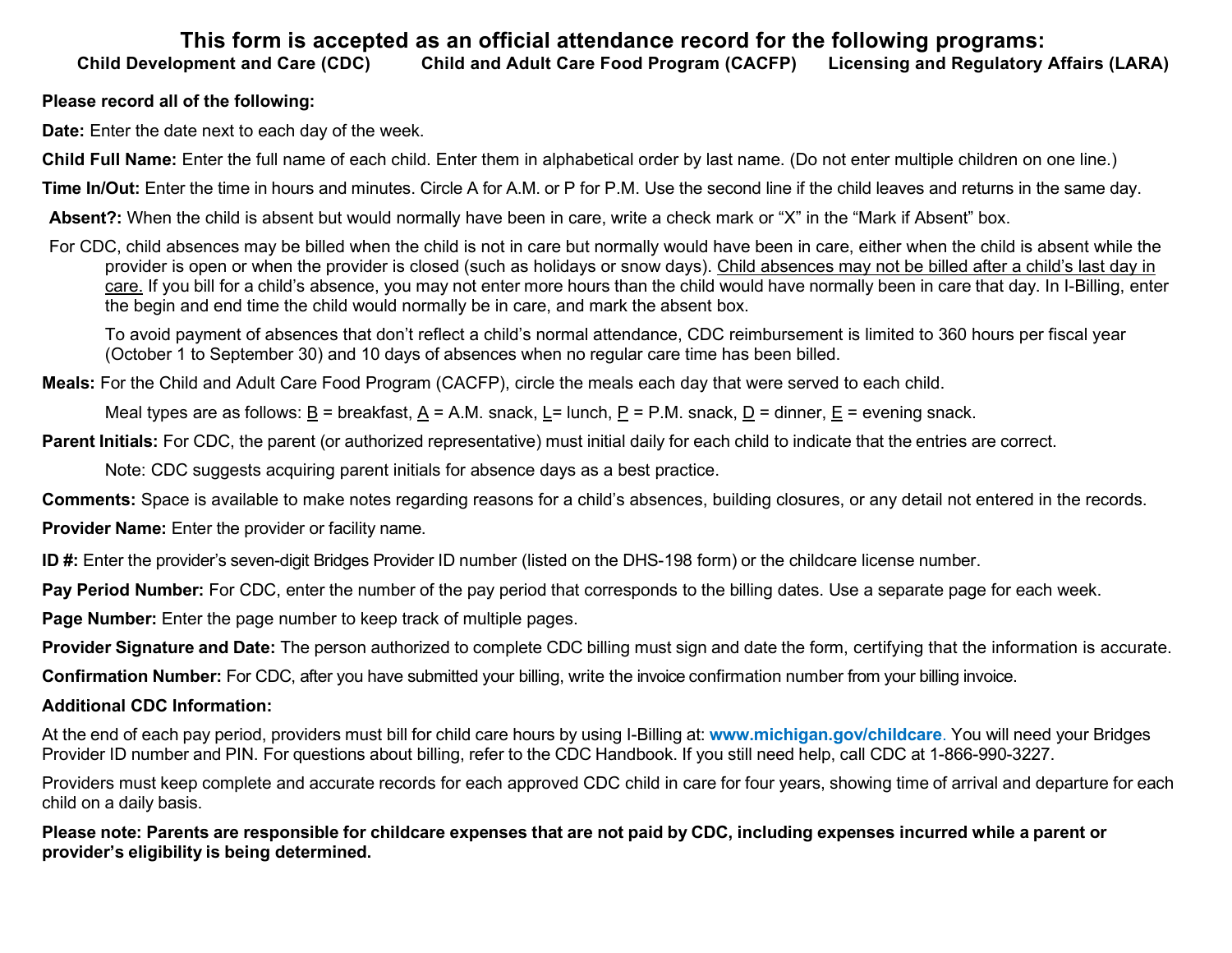# **This form is accepted as an official attendance record for the following programs:**<br>Child Development and Care (CDC) Child and Adult Care Food Program (CACFP) Licensing and Regulatory Affairs (LARA) **Child and Adult Care Food Program (CACFP)**

#### **Please record all of the following:**

**Date:** Enter the date next to each day of the week.

**Child Full Name:** Enter the full name of each child. Enter them in alphabetical order by last name. (Do not enter multiple children on one line.)

**Time In/Out:** Enter the time in hours and minutes. Circle A for A.M. or P for P.M. Use the second line if the child leaves and returns in the same day.

**Absent?:** When the child is absent but would normally have been in care, write a check mark or "X" in the "Mark if Absent" box.

For CDC, child absences may be billed when the child is not in care but normally would have been in care, either when the child is absent while the provider is open or when the provider is closed (such as holidays or snow days). Child absences may not be billed after a child's last day in care. If you bill for a child's absence, you may not enter more hours than the child would have normally been in care that day. In I-Billing, enter the begin and end time the child would normally be in care, and mark the absent box.

To avoid payment of absences that don't reflect a child's normal attendance, CDC reimbursement is limited to 360 hours per fiscal year (October 1 to September 30) and 10 days of absences when no regular care time has been billed.

**Meals:** For the Child and Adult Care Food Program (CACFP), circle the meals each day that were served to each child.

Meal types are as follows:  $B =$  breakfast,  $A = A.M$ . snack,  $L =$  lunch,  $P = P.M$ . snack,  $D =$  dinner,  $E =$  evening snack.

**Parent Initials:** For CDC, the parent (or authorized representative) must initial daily for each child to indicate that the entries are correct.

Note: CDC suggests acquiring parent initials for absence days as a best practice.

**Comments:** Space is available to make notes regarding reasons for a child's absences, building closures, or any detail not entered in the records.

**Provider Name:** Enter the provider or facility name.

**ID #:** Enter the provider's seven-digit Bridges Provider ID number (listed on the DHS-198 form) or the childcare license number.

**Pay Period Number:** For CDC, enter the number of the pay period that corresponds to the billing dates. Use a separate page for each week.

**Page Number:** Enter the page number to keep track of multiple pages.

**Provider Signature and Date:** The person authorized to complete CDC billing must sign and date the form, certifying that the information is accurate.

**Confirmation Number:** For CDC, after you have submitted your billing, write the invoice confirmation number from your billing invoice.

### **Additional CDC Information:**

At the end of each pay period, providers must bill for child care hours by using I-Billing at: **[www.michigan.gov/childcare](http://www.michigan.gov/mde/0,4615,7-140-63533_63534_72649-291400--,00.html)**. You will need your Bridges Provider ID number and PIN. For questions about billing, refer to the CDC Handbook. If you still need help, call CDC at 1-866-990-3227.

Providers must keep complete and accurate records for each approved CDC child in care for four years, showing time of arrival and departure for each child on a daily basis.

Please note: Parents are responsible for childcare expenses that are not paid by CDC, including expenses incurred while a parent or **provider's eligibility is being determined.**